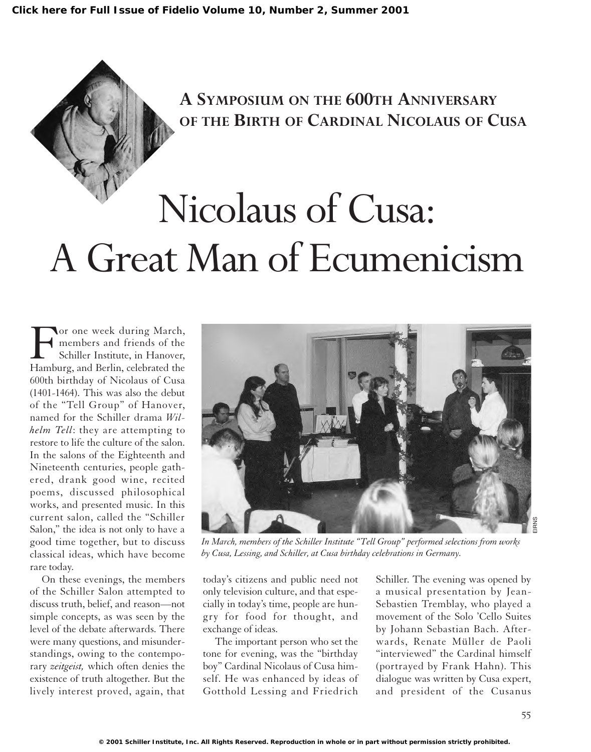# **A SYMPOSIUM ON THE 600TH ANNIVERSARY OF THE BIRTH OF CARDINAL NICOLAUS OF CUSA**

# Nicolaus of Cusa: A Great Man of Ecumenicism

For one week during March,<br>
Schiller Institute, in Hanover,<br>
Hamburg, and Berlin, celebrated the members and friends of the Schiller Institute, in Hanover, 600th birthday of Nicolaus of Cusa (1401-1464). This was also the debut of the "Tell Group" of Hanover, named for the Schiller drama *Wilhelm Tell*: they are attempting to restore to life the culture of the salon. In the salons of the Eighteenth and Nineteenth centuries, people gathered, drank good wine, recited poems, discussed philosophical works, and presented music. In this current salon, called the "Schiller Salon," the idea is not only to have a good time together, but to discuss classical ideas, which have become rare today.

On these evenings, the members of the Schiller Salon attempted to discuss truth, belief, and reason—not simple concepts, as was seen by the level of the debate afterwards. There were many questions, and misunderstandings, owing to the contemporary *zeitgeist,* which often denies the existence of truth altogether. But the lively interest proved, again, that



*In March, members of the Schiller Institute "Tell Group" performed selections from works by Cusa, Lessing, and Schiller, at Cusa birthday celebrations in Germany.*

today's citizens and public need not only television culture, and that especially in today's time, people are hungry for food for thought, and exchange of ideas.

The important person who set the tone for evening, was the "birthday boy" Cardinal Nicolaus of Cusa himself. He was enhanced by ideas of Gotthold Lessing and Friedrich

Schiller. The evening was opened by a musical presentation by Jean-Sebastien Tremblay, who played a movement of the Solo 'Cello Suites by Johann Sebastian Bach. Afterwards, Renate Müller de Paoli "interviewed" the Cardinal himself (portrayed by Frank Hahn). This dialogue was written by Cusa expert, and president of the Cusanus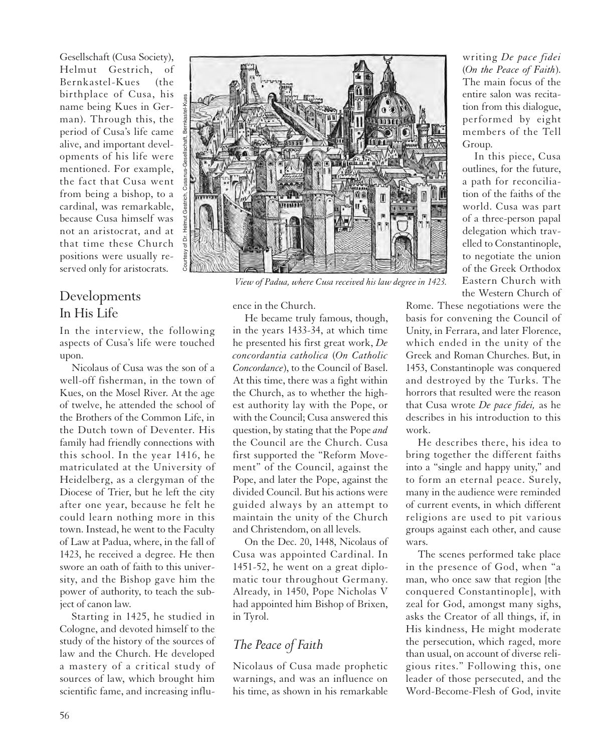Gesellschaft (Cusa Society), Helmut Gestrich, of Bernkastel-Kues (the birthplace of Cusa, his name being Kues in German). Through this, the period of Cusa's life came alive, and important developments of his life were mentioned. For example, the fact that Cusa went from being a bishop, to a cardinal, was remarkable, because Cusa himself was not an aristocrat, and at that time these Church positions were usually reserved only for aristocrats.

### Developments In His Life

In the interview, the following aspects of Cusa's life were touched upon.

Nicolaus of Cusa was the son of a well-off fisherman, in the town of Kues, on the Mosel River. At the age of twelve, he attended the school of the Brothers of the Common Life, in the Dutch town of Deventer. His family had friendly connections with this school. In the year 1416, he matriculated at the University of Heidelberg, as a clergyman of the Diocese of Trier, but he left the city after one year, because he felt he could learn nothing more in this town. Instead, he went to the Faculty of Law at Padua, where, in the fall of 1423, he received a degree. He then swore an oath of faith to this university, and the Bishop gave him the power of authority, to teach the subject of canon law.

Starting in 1425, he studied in Cologne, and devoted himself to the study of the history of the sources of law and the Church. He developed a mastery of a critical study of sources of law, which brought him scientific fame, and increasing influ-



*View of Padua, where Cusa received his law degree in 1423.*

ence in the Church.

He became truly famous, though, in the years 1433-34, at which time he presented his first great work, *De concordantia catholica* (*On Catholic Concordance*), to the Council of Basel. At this time, there was a fight within the Church, as to whether the highest authority lay with the Pope, or with the Council; Cusa answered this question, by stating that the Pope *and* the Council are the Church. Cusa first supported the "Reform Movement" of the Council, against the Pope, and later the Pope, against the divided Council. But his actions were guided always by an attempt to maintain the unity of the Church and Christendom, on all levels.

On the Dec. 20, 1448, Nicolaus of Cusa was appointed Cardinal. In 1451-52, he went on a great diplomatic tour throughout Germany. Already, in 1450, Pope Nicholas V had appointed him Bishop of Brixen, in Tyrol.

## *The Peace of Faith*

Nicolaus of Cusa made prophetic warnings, and was an influence on his time, as shown in his remarkable writing *De pace fidei* (*On the Peace of Faith*). The main focus of the entire salon was recitation from this dialogue, performed by eight members of the Tell Group.

In this piece, Cusa outlines, for the future, a path for reconciliation of the faiths of the world. Cusa was part of a three-person papal delegation which travelled to Constantinople, to negotiate the union of the Greek Orthodox Eastern Church with the Western Church of

Rome. These negotiations were the basis for convening the Council of Unity, in Ferrara, and later Florence, which ended in the unity of the Greek and Roman Churches. But, in 1453, Constantinople was conquered and destroyed by the Turks. The horrors that resulted were the reason that Cusa wrote *De pace fidei,* as he describes in his introduction to this work.

He describes there, his idea to bring together the different faiths into a "single and happy unity," and to form an eternal peace. Surely, many in the audience were reminded of current events, in which different religions are used to pit various groups against each other, and cause wars.

The scenes performed take place in the presence of God, when "a man, who once saw that region [the conquered Constantinople], with zeal for God, amongst many sighs, asks the Creator of all things, if, in His kindness, He might moderate the persecution, which raged, more than usual, on account of diverse religious rites." Following this, one leader of those persecuted, and the Word-Become-Flesh of God, invite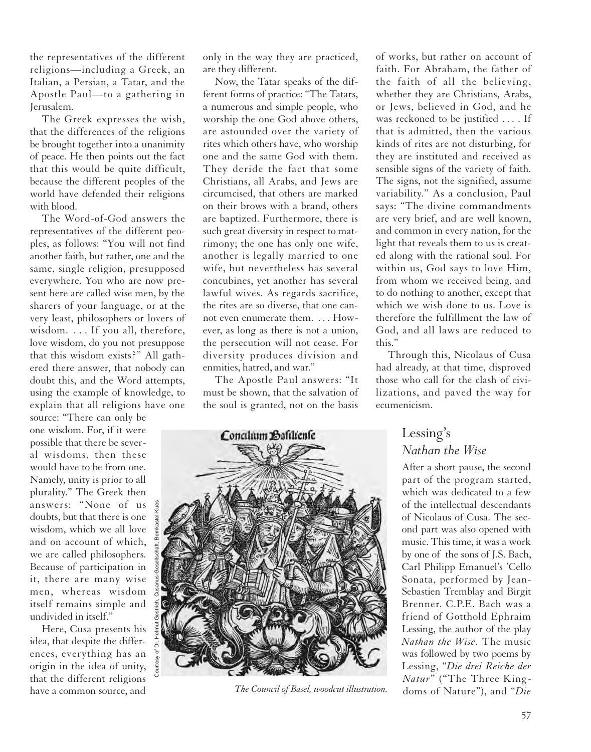the representatives of the different religions—including a Greek, an Italian, a Persian, a Tatar, and the Apostle Paul—to a gathering in Jerusalem.

The Greek expresses the wish, that the differences of the religions be brought together into a unanimity of peace. He then points out the fact that this would be quite difficult, because the different peoples of the world have defended their religions with blood.

The Word-of-God answers the representatives of the different peoples, as follows: "You will not find another faith, but rather, one and the same, single religion, presupposed everywhere. You who are now present here are called wise men, by the sharers of your language, or at the very least, philosophers or lovers of wisdom. . . . If you all, therefore, love wisdom, do you not presuppose that this wisdom exists?" All gathered there answer, that nobody can doubt this, and the Word attempts, using the example of knowledge, to explain that all religions have one

source: "There can only be one wisdom. For, if it were possible that there be several wisdoms, then these would have to be from one. Namely, unity is prior to all plurality." The Greek then answers: "None of us doubts, but that there is one wisdom, which we all love and on account of which, we are called philosophers. Because of participation in it, there are many wise men, whereas wisdom itself remains simple and undivided in itself."

Courtesy of Dr. Helmut Gestrich, Cusanus-Gesellschaft, Bernkastel-Kues

Here, Cusa presents his idea, that despite the differences, everything has an origin in the idea of unity, that the different religions have a common source, and

only in the way they are practiced, are they different.

Now, the Tatar speaks of the different forms of practice: "The Tatars, a numerous and simple people, who worship the one God above others, are astounded over the variety of rites which others have, who worship one and the same God with them. They deride the fact that some Christians, all Arabs, and Jews are circumcised, that others are marked on their brows with a brand, others are baptized. Furthermore, there is such great diversity in respect to matrimony; the one has only one wife, another is legally married to one wife, but nevertheless has several concubines, yet another has several lawful wives. As regards sacrifice, the rites are so diverse, that one cannot even enumerate them. . . . However, as long as there is not a union, the persecution will not cease. For diversity produces division and enmities, hatred, and war."

The Apostle Paul answers: "It the soul is granted, not on the basis



of works, but rather on account of faith. For Abraham, the father of the faith of all the believing, whether they are Christians, Arabs, or Jews, believed in God, and he was reckoned to be justified . . . . If that is admitted, then the various kinds of rites are not disturbing, for they are instituted and received as sensible signs of the variety of faith. The signs, not the signified, assume variability." As a conclusion, Paul says: "The divine commandments are very brief, and are well known, and common in every nation, for the light that reveals them to us is created along with the rational soul. For within us, God says to love Him, from whom we received being, and to do nothing to another, except that which we wish done to us. Love is therefore the fulfillment the law of God, and all laws are reduced to this."

Through this, Nicolaus of Cusa had already, at that time, disproved those who call for the clash of civilizations, and paved the way for ecumenicism.

#### Lessing's *Nathan the Wise*

After a short pause, the second part of the program started, which was dedicated to a few of the intellectual descendants of Nicolaus of Cusa. The second part was also opened with music. This time, it was a work by one of the sons of J.S. Bach, Carl Philipp Emanuel's 'Cello Sonata, performed by Jean-Sebastien Tremblay and Birgit Brenner. C.P.E. Bach was a friend of Gotthold Ephraim Lessing, the author of the play *Nathan the Wise.* The music was followed by two poems by Lessing, "*Die drei Reiche der Natur*" ("The Three King- *The Council of Basel, woodcut illustration.* doms of Nature"), and "*Die*